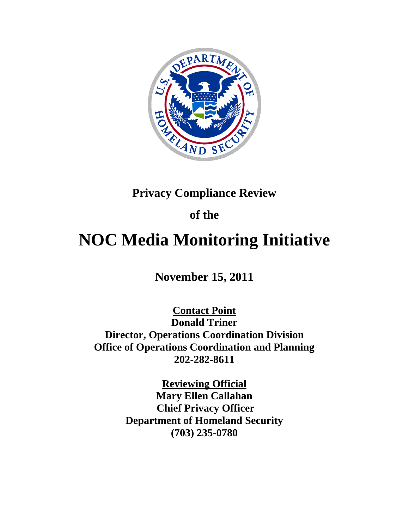

## **Privacy Compliance Review**

## **of the**

# **NOC Media Monitoring Initiative**

## **November 15, 2011**

**Contact Point Donald Triner Director, Operations Coordination Division Office of Operations Coordination and Planning 202-282-8611**

> **Reviewing Official Mary Ellen Callahan Chief Privacy Officer Department of Homeland Security (703) 235-0780**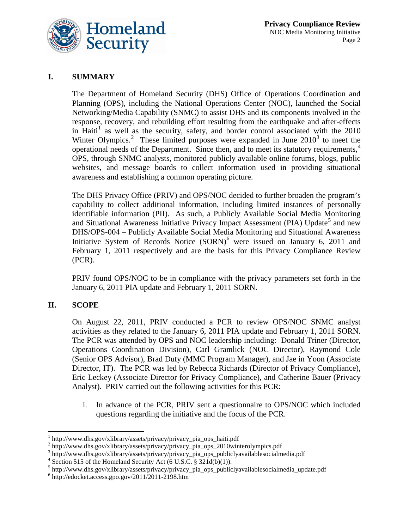

### **I. SUMMARY**

The Department of Homeland Security (DHS) Office of Operations Coordination and Planning (OPS), including the National Operations Center (NOC), launched the Social Networking/Media Capability (SNMC) to assist DHS and its components involved in the response, recovery, and rebuilding effort resulting from the earthquake and after-effects in Haiti<sup>[1](#page-1-0)</sup> as well as the security, safety, and border control associated with the  $2010$ Winter Olympics.<sup>[2](#page-1-1)</sup> These limited purposes were expanded in June  $2010<sup>3</sup>$  $2010<sup>3</sup>$  $2010<sup>3</sup>$  to meet the operational needs of the Department. Since then, and to meet its statutory requirements,<sup>[4](#page-1-3)</sup> OPS, through SNMC analysts, monitored publicly available online forums, blogs, public websites, and message boards to collect information used in providing situational awareness and establishing a common operating picture.

The DHS Privacy Office (PRIV) and OPS/NOC decided to further broaden the program's capability to collect additional information, including limited instances of personally identifiable information (PII). As such, a Publicly Available Social Media Monitoring and Situational Awareness Initiative Privacy Impact Assessment (PIA) Update<sup>[5](#page-1-4)</sup> and new DHS/OPS-004 – Publicly Available Social Media Monitoring and Situational Awareness Initiative System of Records Notice (SORN) [6](#page-1-5) were issued on January 6, 2011 and February 1, 2011 respectively and are the basis for this Privacy Compliance Review (PCR).

PRIV found OPS/NOC to be in compliance with the privacy parameters set forth in the January 6, 2011 PIA update and February 1, 2011 SORN.

#### **II. SCOPE**

On August 22, 2011, PRIV conducted a PCR to review OPS/NOC SNMC analyst activities as they related to the January 6, 2011 PIA update and February 1, 2011 SORN. The PCR was attended by OPS and NOC leadership including: Donald Triner (Director, Operations Coordination Division), Carl Gramlick (NOC Director), Raymond Cole (Senior OPS Advisor), Brad Duty (MMC Program Manager), and Jae in Yoon (Associate Director, IT). The PCR was led by Rebecca Richards (Director of Privacy Compliance), Eric Leckey (Associate Director for Privacy Compliance), and Catherine Bauer (Privacy Analyst). PRIV carried out the following activities for this PCR:

i. In advance of the PCR, PRIV sent a questionnaire to OPS/NOC which included questions regarding the initiative and the focus of the PCR.

<span id="page-1-0"></span> $1$  http://www.dhs.gov/xlibrary/assets/privacy/privacy\_pia\_ops\_haiti.pdf

<span id="page-1-1"></span><sup>&</sup>lt;sup>2</sup> http://www.dhs.gov/xlibrary/assets/privacy/privacy\_pia\_ops\_2010winterolympics.pdf

<span id="page-1-2"></span><sup>3</sup> http://www.dhs.gov/xlibrary/assets/privacy/privacy\_pia\_ops\_publiclyavailablesocialmedia.pdf

<span id="page-1-3"></span> $4$  Section 515 of the Homeland Security Act (6 U.S.C. § 321d(b)(1)).

<span id="page-1-4"></span> $^5$  http://www.dhs.gov/xlibrary/assets/privacy/privacy\_pia\_ops\_publiclyavailablesocialmedia\_update.pdf  $^6$  http://edocket.access.gpo.gov/2011/2011-2198.htm

<span id="page-1-5"></span>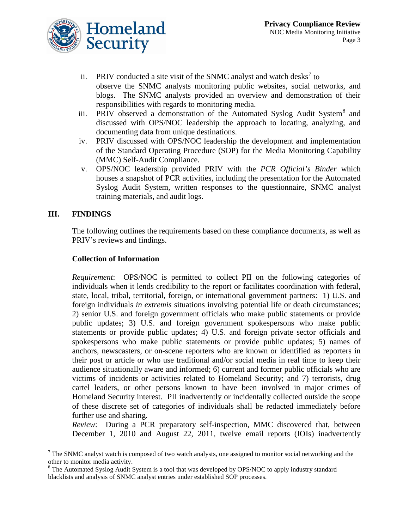

- ii. PRIV conducted a site visit of the SNMC analyst and watch desks<sup>[7](#page-2-0)</sup> to observe the SNMC analysts monitoring public websites, social networks, and blogs. The SNMC analysts provided an overview and demonstration of their responsibilities with regards to monitoring media.
- iii. PRIV observed a demonstration of the Automated Syslog Audit System<sup>[8](#page-2-1)</sup> and discussed with OPS/NOC leadership the approach to locating, analyzing, and documenting data from unique destinations.
- iv. PRIV discussed with OPS/NOC leadership the development and implementation of the Standard Operating Procedure (SOP) for the Media Monitoring Capability (MMC) Self-Audit Compliance.
- v. OPS/NOC leadership provided PRIV with the *PCR Official's Binder* which houses a snapshot of PCR activities, including the presentation for the Automated Syslog Audit System, written responses to the questionnaire, SNMC analyst training materials, and audit logs.

#### **III. FINDINGS**

The following outlines the requirements based on these compliance documents, as well as PRIV's reviews and findings.

#### **Collection of Information**

*Requirement*: OPS/NOC is permitted to collect PII on the following categories of individuals when it lends credibility to the report or facilitates coordination with federal, state, local, tribal, territorial, foreign, or international government partners: 1) U.S. and foreign individuals *in extremis* situations involving potential life or death circumstances; 2) senior U.S. and foreign government officials who make public statements or provide public updates; 3) U.S. and foreign government spokespersons who make public statements or provide public updates; 4) U.S. and foreign private sector officials and spokespersons who make public statements or provide public updates; 5) names of anchors, newscasters, or on-scene reporters who are known or identified as reporters in their post or article or who use traditional and/or social media in real time to keep their audience situationally aware and informed; 6) current and former public officials who are victims of incidents or activities related to Homeland Security; and 7) terrorists, drug cartel leaders, or other persons known to have been involved in major crimes of Homeland Security interest. PII inadvertently or incidentally collected outside the scope of these discrete set of categories of individuals shall be redacted immediately before further use and sharing.

*Review*: During a PCR preparatory self-inspection, MMC discovered that, between December 1, 2010 and August 22, 2011, twelve email reports (IOIs) inadvertently

<span id="page-2-0"></span><sup>&</sup>lt;sup>7</sup> The SNMC analyst watch is composed of two watch analysts, one assigned to monitor social networking and the other to monitor media activity.

<span id="page-2-1"></span><sup>&</sup>lt;sup>8</sup> The Automated Syslog Audit System is a tool that was developed by OPS/NOC to apply industry standard blacklists and analysis of SNMC analyst entries under established SOP processes.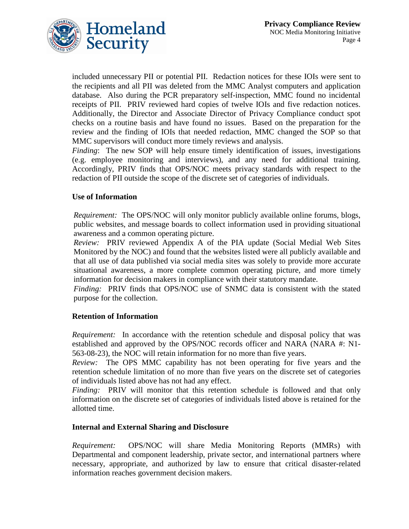

included unnecessary PII or potential PII. Redaction notices for these IOIs were sent to the recipients and all PII was deleted from the MMC Analyst computers and application database. Also during the PCR preparatory self-inspection, MMC found no incidental receipts of PII. PRIV reviewed hard copies of twelve IOIs and five redaction notices. Additionally, the Director and Associate Director of Privacy Compliance conduct spot checks on a routine basis and have found no issues. Based on the preparation for the review and the finding of IOIs that needed redaction, MMC changed the SOP so that MMC supervisors will conduct more timely reviews and analysis.

*Finding*: The new SOP will help ensure timely identification of issues, investigations (e.g. employee monitoring and interviews), and any need for additional training. Accordingly, PRIV finds that OPS/NOC meets privacy standards with respect to the redaction of PII outside the scope of the discrete set of categories of individuals.

#### **Use of Information**

*Requirement:* The OPS/NOC will only monitor publicly available online forums, blogs, public websites, and message boards to collect information used in providing situational awareness and a common operating picture.

*Review:* PRIV reviewed Appendix A of the PIA update (Social Medial Web Sites Monitored by the NOC) and found that the websites listed were all publicly available and that all use of data published via social media sites was solely to provide more accurate situational awareness, a more complete common operating picture, and more timely information for decision makers in compliance with their statutory mandate.

*Finding:* PRIV finds that OPS/NOC use of SNMC data is consistent with the stated purpose for the collection.

#### **Retention of Information**

*Requirement:* In accordance with the retention schedule and disposal policy that was established and approved by the OPS/NOC records officer and NARA (NARA #: N1- 563-08-23), the NOC will retain information for no more than five years.

*Review:* The OPS MMC capability has not been operating for five years and the retention schedule limitation of no more than five years on the discrete set of categories of individuals listed above has not had any effect.

*Finding:* PRIV will monitor that this retention schedule is followed and that only information on the discrete set of categories of individuals listed above is retained for the allotted time.

#### **Internal and External Sharing and Disclosure**

*Requirement:* OPS/NOC will share Media Monitoring Reports (MMRs) with Departmental and component leadership, private sector, and international partners where necessary, appropriate, and authorized by law to ensure that critical disaster-related information reaches government decision makers.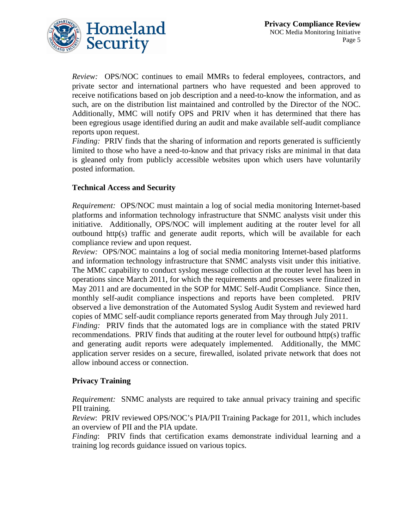

*Review:* OPS/NOC continues to email MMRs to federal employees, contractors, and private sector and international partners who have requested and been approved to receive notifications based on job description and a need-to-know the information, and as such, are on the distribution list maintained and controlled by the Director of the NOC. Additionally, MMC will notify OPS and PRIV when it has determined that there has been egregious usage identified during an audit and make available self-audit compliance reports upon request.

*Finding:* PRIV finds that the sharing of information and reports generated is sufficiently limited to those who have a need-to-know and that privacy risks are minimal in that data is gleaned only from publicly accessible websites upon which users have voluntarily posted information.

#### **Technical Access and Security**

*Requirement:* OPS/NOC must maintain a log of social media monitoring Internet-based platforms and information technology infrastructure that SNMC analysts visit under this initiative. Additionally, OPS/NOC will implement auditing at the router level for all outbound http(s) traffic and generate audit reports, which will be available for each compliance review and upon request.

*Review:* OPS/NOC maintains a log of social media monitoring Internet-based platforms and information technology infrastructure that SNMC analysts visit under this initiative. The MMC capability to conduct syslog message collection at the router level has been in operations since March 2011, for which the requirements and processes were finalized in May 2011 and are documented in the SOP for MMC Self-Audit Compliance. Since then, monthly self-audit compliance inspections and reports have been completed. PRIV observed a live demonstration of the Automated Syslog Audit System and reviewed hard copies of MMC self-audit compliance reports generated from May through July 2011.

*Finding:* PRIV finds that the automated logs are in compliance with the stated PRIV recommendations. PRIV finds that auditing at the router level for outbound http(s) traffic and generating audit reports were adequately implemented. Additionally, the MMC application server resides on a secure, firewalled, isolated private network that does not allow inbound access or connection.

#### **Privacy Training**

*Requirement:* SNMC analysts are required to take annual privacy training and specific PII training.

*Review*: PRIV reviewed OPS/NOC's PIA/PII Training Package for 2011, which includes an overview of PII and the PIA update.

*Finding*: PRIV finds that certification exams demonstrate individual learning and a training log records guidance issued on various topics.